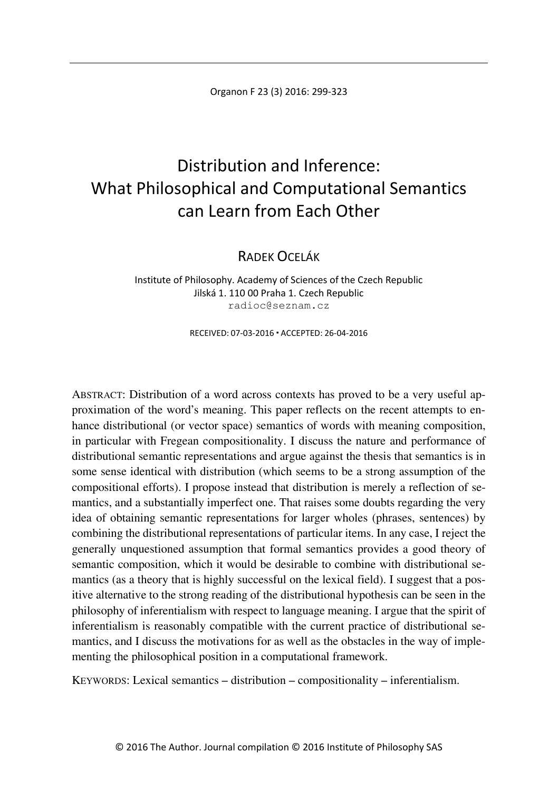# Distribution and Inference: What Philosophical and Computational Semantics can Learn from Each Other

RADEK OCELÁK

Institute of Philosophy. Academy of Sciences of the Czech Republic Jilská 1. 110 00 Praha 1. Czech Republic radioc@seznam.cz

RECEIVED: 07-03-2016 ACCEPTED: 26-04-2016

ABSTRACT: Distribution of a word across contexts has proved to be a very useful approximation of the word's meaning. This paper reflects on the recent attempts to enhance distributional (or vector space) semantics of words with meaning composition, in particular with Fregean compositionality. I discuss the nature and performance of distributional semantic representations and argue against the thesis that semantics is in some sense identical with distribution (which seems to be a strong assumption of the compositional efforts). I propose instead that distribution is merely a reflection of semantics, and a substantially imperfect one. That raises some doubts regarding the very idea of obtaining semantic representations for larger wholes (phrases, sentences) by combining the distributional representations of particular items. In any case, I reject the generally unquestioned assumption that formal semantics provides a good theory of semantic composition, which it would be desirable to combine with distributional semantics (as a theory that is highly successful on the lexical field). I suggest that a positive alternative to the strong reading of the distributional hypothesis can be seen in the philosophy of inferentialism with respect to language meaning. I argue that the spirit of inferentialism is reasonably compatible with the current practice of distributional semantics, and I discuss the motivations for as well as the obstacles in the way of implementing the philosophical position in a computational framework.

KEYWORDS: Lexical semantics – distribution – compositionality – inferentialism.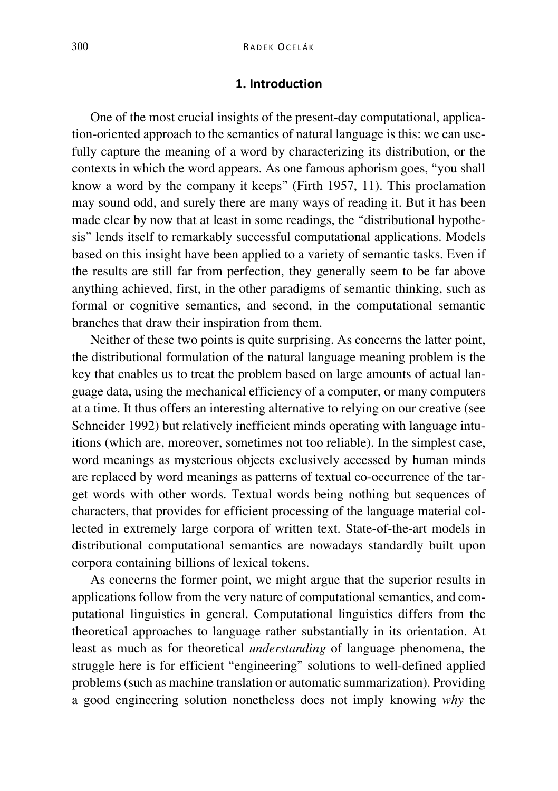# **1. Introduction**

One of the most crucial insights of the present-day computational, application-oriented approach to the semantics of natural language is this: we can usefully capture the meaning of a word by characterizing its distribution, or the contexts in which the word appears. As one famous aphorism goes, "you shall know a word by the company it keeps" (Firth 1957, 11). This proclamation may sound odd, and surely there are many ways of reading it. But it has been made clear by now that at least in some readings, the "distributional hypothesis" lends itself to remarkably successful computational applications. Models based on this insight have been applied to a variety of semantic tasks. Even if the results are still far from perfection, they generally seem to be far above anything achieved, first, in the other paradigms of semantic thinking, such as formal or cognitive semantics, and second, in the computational semantic branches that draw their inspiration from them.

Neither of these two points is quite surprising. As concerns the latter point, the distributional formulation of the natural language meaning problem is the key that enables us to treat the problem based on large amounts of actual language data, using the mechanical efficiency of a computer, or many computers at a time. It thus offers an interesting alternative to relying on our creative (see Schneider 1992) but relatively inefficient minds operating with language intuitions (which are, moreover, sometimes not too reliable). In the simplest case, word meanings as mysterious objects exclusively accessed by human minds are replaced by word meanings as patterns of textual co-occurrence of the target words with other words. Textual words being nothing but sequences of characters, that provides for efficient processing of the language material collected in extremely large corpora of written text. State-of-the-art models in distributional computational semantics are nowadays standardly built upon corpora containing billions of lexical tokens.

As concerns the former point, we might argue that the superior results in applications follow from the very nature of computational semantics, and computational linguistics in general. Computational linguistics differs from the theoretical approaches to language rather substantially in its orientation. At least as much as for theoretical *understanding* of language phenomena, the struggle here is for efficient "engineering" solutions to well-defined applied problems (such as machine translation or automatic summarization). Providing a good engineering solution nonetheless does not imply knowing *why* the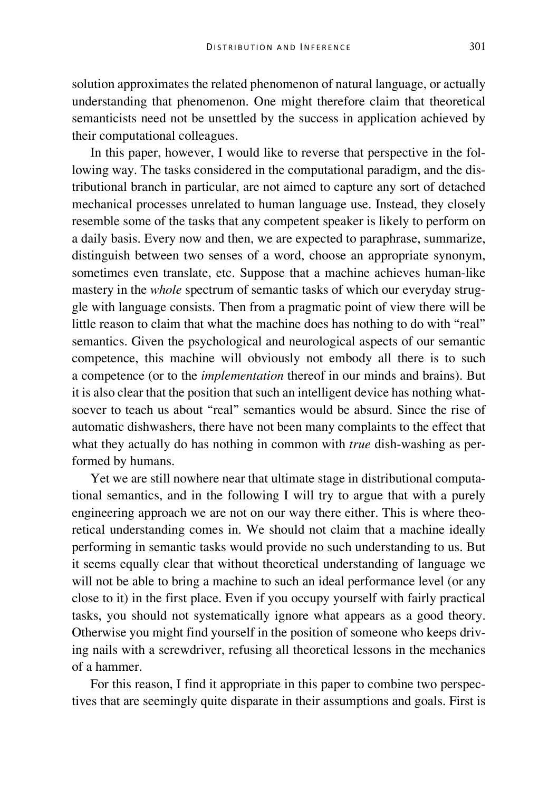solution approximates the related phenomenon of natural language, or actually understanding that phenomenon. One might therefore claim that theoretical semanticists need not be unsettled by the success in application achieved by their computational colleagues.

In this paper, however, I would like to reverse that perspective in the following way. The tasks considered in the computational paradigm, and the distributional branch in particular, are not aimed to capture any sort of detached mechanical processes unrelated to human language use. Instead, they closely resemble some of the tasks that any competent speaker is likely to perform on a daily basis. Every now and then, we are expected to paraphrase, summarize, distinguish between two senses of a word, choose an appropriate synonym, sometimes even translate, etc. Suppose that a machine achieves human-like mastery in the *whole* spectrum of semantic tasks of which our everyday struggle with language consists. Then from a pragmatic point of view there will be little reason to claim that what the machine does has nothing to do with "real" semantics. Given the psychological and neurological aspects of our semantic competence, this machine will obviously not embody all there is to such a competence (or to the *implementation* thereof in our minds and brains). But it is also clear that the position that such an intelligent device has nothing whatsoever to teach us about "real" semantics would be absurd. Since the rise of automatic dishwashers, there have not been many complaints to the effect that what they actually do has nothing in common with *true* dish-washing as performed by humans.

Yet we are still nowhere near that ultimate stage in distributional computational semantics, and in the following I will try to argue that with a purely engineering approach we are not on our way there either. This is where theoretical understanding comes in. We should not claim that a machine ideally performing in semantic tasks would provide no such understanding to us. But it seems equally clear that without theoretical understanding of language we will not be able to bring a machine to such an ideal performance level (or any close to it) in the first place. Even if you occupy yourself with fairly practical tasks, you should not systematically ignore what appears as a good theory. Otherwise you might find yourself in the position of someone who keeps driving nails with a screwdriver, refusing all theoretical lessons in the mechanics of a hammer.

For this reason, I find it appropriate in this paper to combine two perspectives that are seemingly quite disparate in their assumptions and goals. First is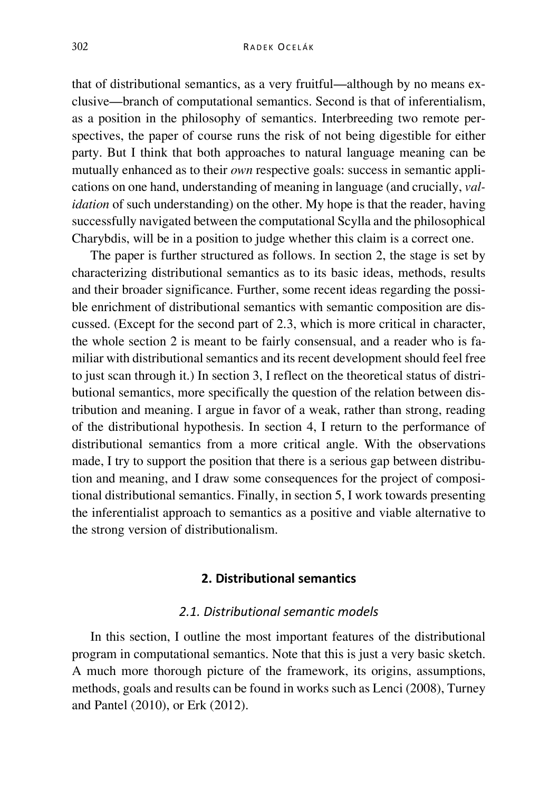that of distributional semantics, as a very fruitful—although by no means exclusive—branch of computational semantics. Second is that of inferentialism, as a position in the philosophy of semantics. Interbreeding two remote perspectives, the paper of course runs the risk of not being digestible for either party. But I think that both approaches to natural language meaning can be mutually enhanced as to their *own* respective goals: success in semantic applications on one hand, understanding of meaning in language (and crucially, *validation* of such understanding) on the other. My hope is that the reader, having successfully navigated between the computational Scylla and the philosophical Charybdis, will be in a position to judge whether this claim is a correct one.

The paper is further structured as follows. In section 2, the stage is set by characterizing distributional semantics as to its basic ideas, methods, results and their broader significance. Further, some recent ideas regarding the possible enrichment of distributional semantics with semantic composition are discussed. (Except for the second part of 2.3, which is more critical in character, the whole section 2 is meant to be fairly consensual, and a reader who is familiar with distributional semantics and its recent development should feel free to just scan through it.) In section 3, I reflect on the theoretical status of distributional semantics, more specifically the question of the relation between distribution and meaning. I argue in favor of a weak, rather than strong, reading of the distributional hypothesis. In section 4, I return to the performance of distributional semantics from a more critical angle. With the observations made, I try to support the position that there is a serious gap between distribution and meaning, and I draw some consequences for the project of compositional distributional semantics. Finally, in section 5, I work towards presenting the inferentialist approach to semantics as a positive and viable alternative to the strong version of distributionalism.

# **2. Distributional semantics**

# *2.1. Distributional semantic models*

In this section, I outline the most important features of the distributional program in computational semantics. Note that this is just a very basic sketch. A much more thorough picture of the framework, its origins, assumptions, methods, goals and results can be found in works such as Lenci (2008), Turney and Pantel (2010), or Erk (2012).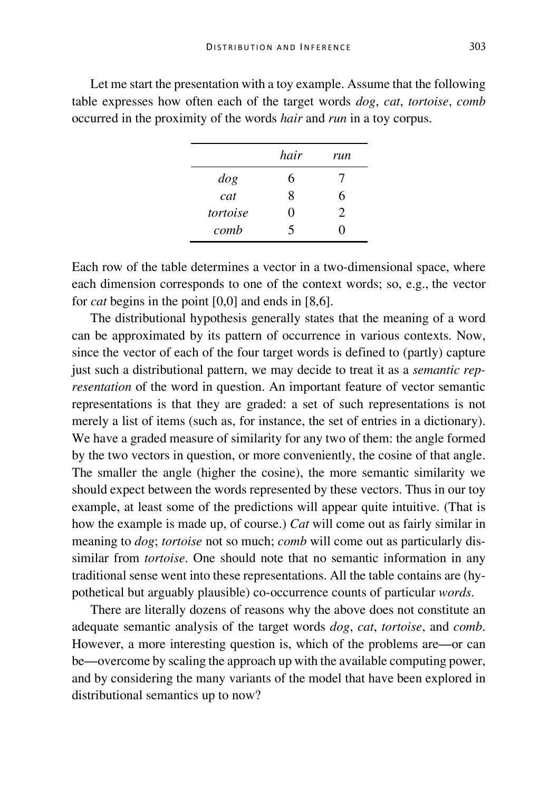|          | hair | run |
|----------|------|-----|
| $\log$   | 6    |     |
| cat      | 8    | 6   |
| tortoise | 0    | 2   |
| comb     | 5    | וו  |

Let me start the presentation with a toy example. Assume that the following table expresses how often each of the target words *dog*, *cat*, *tortoise*, *comb* occurred in the proximity of the words *hair* and *run* in a toy corpus.

Each row of the table determines a vector in a two-dimensional space, where each dimension corresponds to one of the context words; so, e.g., the vector for *cat* begins in the point [0,0] and ends in [8,6].

The distributional hypothesis generally states that the meaning of a word can be approximated by its pattern of occurrence in various contexts. Now, since the vector of each of the four target words is defined to (partly) capture just such a distributional pattern, we may decide to treat it as a *semantic representation* of the word in question. An important feature of vector semantic representations is that they are graded: a set of such representations is not merely a list of items (such as, for instance, the set of entries in a dictionary). We have a graded measure of similarity for any two of them: the angle formed by the two vectors in question, or more conveniently, the cosine of that angle. The smaller the angle (higher the cosine), the more semantic similarity we should expect between the words represented by these vectors. Thus in our toy example, at least some of the predictions will appear quite intuitive. (That is how the example is made up, of course.) *Cat* will come out as fairly similar in meaning to *dog*; *tortoise* not so much; *comb* will come out as particularly dissimilar from *tortoise*. One should note that no semantic information in any traditional sense went into these representations. All the table contains are (hypothetical but arguably plausible) co-occurrence counts of particular *words*.

There are literally dozens of reasons why the above does not constitute an adequate semantic analysis of the target words *dog*, *cat*, *tortoise*, and *comb*. However, a more interesting question is, which of the problems are—or can be—overcome by scaling the approach up with the available computing power, and by considering the many variants of the model that have been explored in distributional semantics up to now?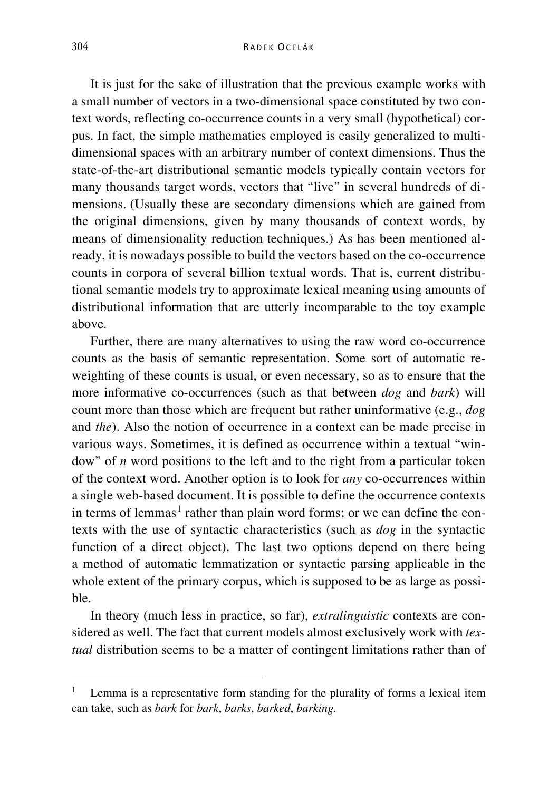It is just for the sake of illustration that the previous example works with a small number of vectors in a two-dimensional space constituted by two context words, reflecting co-occurrence counts in a very small (hypothetical) corpus. In fact, the simple mathematics employed is easily generalized to multidimensional spaces with an arbitrary number of context dimensions. Thus the state-of-the-art distributional semantic models typically contain vectors for many thousands target words, vectors that "live" in several hundreds of dimensions. (Usually these are secondary dimensions which are gained from the original dimensions, given by many thousands of context words, by means of dimensionality reduction techniques.) As has been mentioned already, it is nowadays possible to build the vectors based on the co-occurrence counts in corpora of several billion textual words. That is, current distributional semantic models try to approximate lexical meaning using amounts of distributional information that are utterly incomparable to the toy example above.

Further, there are many alternatives to using the raw word co-occurrence counts as the basis of semantic representation. Some sort of automatic reweighting of these counts is usual, or even necessary, so as to ensure that the more informative co-occurrences (such as that between *dog* and *bark*) will count more than those which are frequent but rather uninformative (e.g., *dog* and *the*). Also the notion of occurrence in a context can be made precise in various ways. Sometimes, it is defined as occurrence within a textual "window" of *n* word positions to the left and to the right from a particular token of the context word. Another option is to look for *any* co-occurrences within a single web-based document. It is possible to define the occurrence contexts in terms of lemmas<sup>[1](#page-5-0)</sup> rather than plain word forms; or we can define the contexts with the use of syntactic characteristics (such as *dog* in the syntactic function of a direct object). The last two options depend on there being a method of automatic lemmatization or syntactic parsing applicable in the whole extent of the primary corpus, which is supposed to be as large as possible.

In theory (much less in practice, so far), *extralinguistic* contexts are considered as well. The fact that current models almost exclusively work with *textual* distribution seems to be a matter of contingent limitations rather than of

<span id="page-5-0"></span> <sup>1</sup> Lemma is a representative form standing for the plurality of forms a lexical item can take, such as *bark* for *bark*, *barks*, *barked*, *barking.*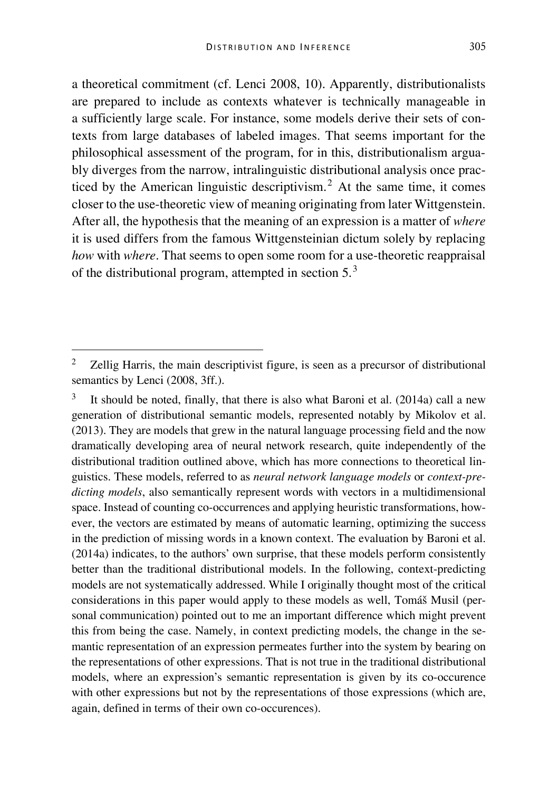a theoretical commitment (cf. Lenci 2008, 10). Apparently, distributionalists are prepared to include as contexts whatever is technically manageable in a sufficiently large scale. For instance, some models derive their sets of contexts from large databases of labeled images. That seems important for the philosophical assessment of the program, for in this, distributionalism arguably diverges from the narrow, intralinguistic distributional analysis once practiced by the American linguistic descriptivism.[2](#page-6-0) At the same time, it comes closer to the use-theoretic view of meaning originating from later Wittgenstein. After all, the hypothesis that the meaning of an expression is a matter of *where* it is used differs from the famous Wittgensteinian dictum solely by replacing *how* with *where*. That seems to open some room for a use-theoretic reappraisal of the distributional program, attempted in section  $5<sup>3</sup>$  $5<sup>3</sup>$  $5<sup>3</sup>$ 

<span id="page-6-0"></span><sup>&</sup>lt;sup>2</sup> Zellig Harris, the main descriptivist figure, is seen as a precursor of distributional semantics by Lenci (2008, 3ff.).

<span id="page-6-1"></span><sup>&</sup>lt;sup>3</sup> It should be noted, finally, that there is also what Baroni et al.  $(2014a)$  call a new generation of distributional semantic models, represented notably by Mikolov et al. (2013). They are models that grew in the natural language processing field and the now dramatically developing area of neural network research, quite independently of the distributional tradition outlined above, which has more connections to theoretical linguistics. These models, referred to as *neural network language models* or *context-predicting models*, also semantically represent words with vectors in a multidimensional space. Instead of counting co-occurrences and applying heuristic transformations, however, the vectors are estimated by means of automatic learning, optimizing the success in the prediction of missing words in a known context. The evaluation by Baroni et al. (2014a) indicates, to the authors' own surprise, that these models perform consistently better than the traditional distributional models. In the following, context-predicting models are not systematically addressed. While I originally thought most of the critical considerations in this paper would apply to these models as well, Tomáš Musil (personal communication) pointed out to me an important difference which might prevent this from being the case. Namely, in context predicting models, the change in the semantic representation of an expression permeates further into the system by bearing on the representations of other expressions. That is not true in the traditional distributional models, where an expression's semantic representation is given by its co-occurence with other expressions but not by the representations of those expressions (which are, again, defined in terms of their own co-occurences).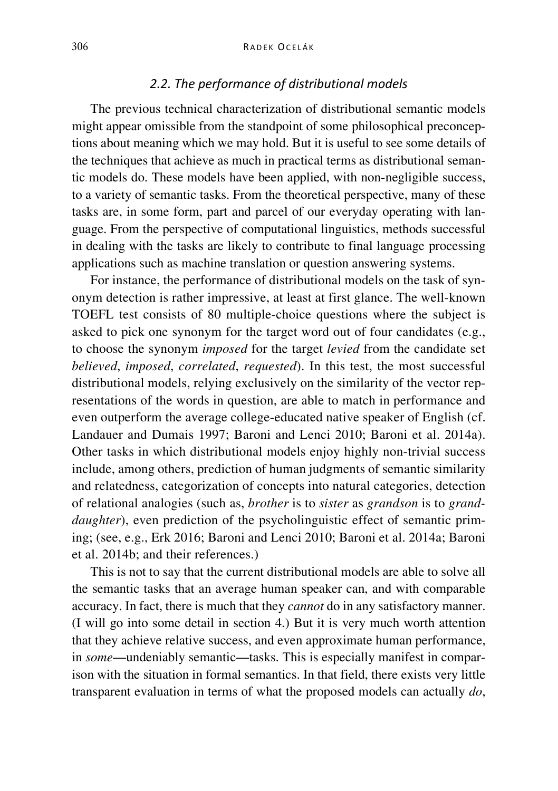# *2.2. The performance of distributional models*

The previous technical characterization of distributional semantic models might appear omissible from the standpoint of some philosophical preconceptions about meaning which we may hold. But it is useful to see some details of the techniques that achieve as much in practical terms as distributional semantic models do. These models have been applied, with non-negligible success, to a variety of semantic tasks. From the theoretical perspective, many of these tasks are, in some form, part and parcel of our everyday operating with language. From the perspective of computational linguistics, methods successful in dealing with the tasks are likely to contribute to final language processing applications such as machine translation or question answering systems.

For instance, the performance of distributional models on the task of synonym detection is rather impressive, at least at first glance. The well-known TOEFL test consists of 80 multiple-choice questions where the subject is asked to pick one synonym for the target word out of four candidates (e.g., to choose the synonym *imposed* for the target *levied* from the candidate set *believed*, *imposed*, *correlated*, *requested*). In this test, the most successful distributional models, relying exclusively on the similarity of the vector representations of the words in question, are able to match in performance and even outperform the average college-educated native speaker of English (cf. Landauer and Dumais 1997; Baroni and Lenci 2010; Baroni et al. 2014a). Other tasks in which distributional models enjoy highly non-trivial success include, among others, prediction of human judgments of semantic similarity and relatedness, categorization of concepts into natural categories, detection of relational analogies (such as, *brother* is to *sister* as *grandson* is to *granddaughter*), even prediction of the psycholinguistic effect of semantic priming; (see, e.g., Erk 2016; Baroni and Lenci 2010; Baroni et al. 2014a; Baroni et al. 2014b; and their references.)

This is not to say that the current distributional models are able to solve all the semantic tasks that an average human speaker can, and with comparable accuracy. In fact, there is much that they *cannot* do in any satisfactory manner. (I will go into some detail in section 4.) But it is very much worth attention that they achieve relative success, and even approximate human performance, in *some*—undeniably semantic—tasks. This is especially manifest in comparison with the situation in formal semantics. In that field, there exists very little transparent evaluation in terms of what the proposed models can actually *do*,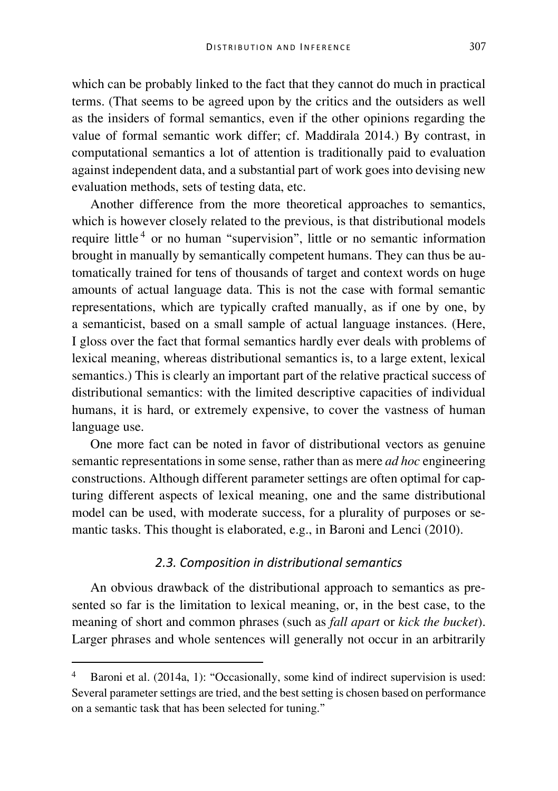which can be probably linked to the fact that they cannot do much in practical terms. (That seems to be agreed upon by the critics and the outsiders as well as the insiders of formal semantics, even if the other opinions regarding the value of formal semantic work differ; cf. Maddirala 2014.) By contrast, in computational semantics a lot of attention is traditionally paid to evaluation against independent data, and a substantial part of work goes into devising new evaluation methods, sets of testing data, etc.

Another difference from the more theoretical approaches to semantics, which is however closely related to the previous, is that distributional models require little [4](#page-8-0) or no human "supervision", little or no semantic information brought in manually by semantically competent humans. They can thus be automatically trained for tens of thousands of target and context words on huge amounts of actual language data. This is not the case with formal semantic representations, which are typically crafted manually, as if one by one, by a semanticist, based on a small sample of actual language instances. (Here, I gloss over the fact that formal semantics hardly ever deals with problems of lexical meaning, whereas distributional semantics is, to a large extent, lexical semantics.) This is clearly an important part of the relative practical success of distributional semantics: with the limited descriptive capacities of individual humans, it is hard, or extremely expensive, to cover the vastness of human language use.

One more fact can be noted in favor of distributional vectors as genuine semantic representations in some sense, rather than as mere *ad hoc* engineering constructions. Although different parameter settings are often optimal for capturing different aspects of lexical meaning, one and the same distributional model can be used, with moderate success, for a plurality of purposes or semantic tasks. This thought is elaborated, e.g., in Baroni and Lenci (2010).

# *2.3. Composition in distributional semantics*

An obvious drawback of the distributional approach to semantics as presented so far is the limitation to lexical meaning, or, in the best case, to the meaning of short and common phrases (such as *fall apart* or *kick the bucket*). Larger phrases and whole sentences will generally not occur in an arbitrarily

<span id="page-8-0"></span>Baroni et al. (2014a, 1): "Occasionally, some kind of indirect supervision is used: Several parameter settings are tried, and the best setting is chosen based on performance on a semantic task that has been selected for tuning."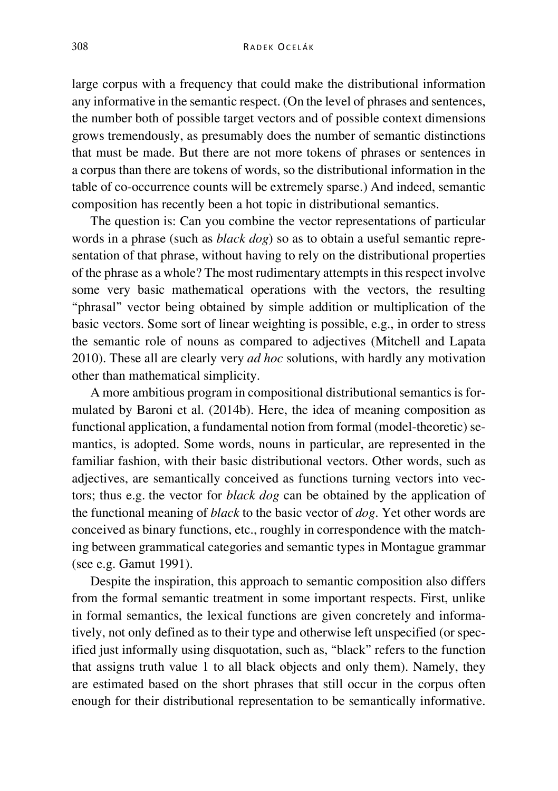large corpus with a frequency that could make the distributional information any informative in the semantic respect. (On the level of phrases and sentences, the number both of possible target vectors and of possible context dimensions grows tremendously, as presumably does the number of semantic distinctions that must be made. But there are not more tokens of phrases or sentences in a corpus than there are tokens of words, so the distributional information in the table of co-occurrence counts will be extremely sparse.) And indeed, semantic composition has recently been a hot topic in distributional semantics.

The question is: Can you combine the vector representations of particular words in a phrase (such as *black dog*) so as to obtain a useful semantic representation of that phrase, without having to rely on the distributional properties of the phrase as a whole? The most rudimentary attempts in this respect involve some very basic mathematical operations with the vectors, the resulting "phrasal" vector being obtained by simple addition or multiplication of the basic vectors. Some sort of linear weighting is possible, e.g., in order to stress the semantic role of nouns as compared to adjectives (Mitchell and Lapata 2010). These all are clearly very *ad hoc* solutions, with hardly any motivation other than mathematical simplicity.

A more ambitious program in compositional distributional semantics is formulated by Baroni et al. (2014b). Here, the idea of meaning composition as functional application, a fundamental notion from formal (model-theoretic) semantics, is adopted. Some words, nouns in particular, are represented in the familiar fashion, with their basic distributional vectors. Other words, such as adjectives, are semantically conceived as functions turning vectors into vectors; thus e.g. the vector for *black dog* can be obtained by the application of the functional meaning of *black* to the basic vector of *dog*. Yet other words are conceived as binary functions, etc., roughly in correspondence with the matching between grammatical categories and semantic types in Montague grammar (see e.g. Gamut 1991).

Despite the inspiration, this approach to semantic composition also differs from the formal semantic treatment in some important respects. First, unlike in formal semantics, the lexical functions are given concretely and informatively, not only defined as to their type and otherwise left unspecified (or specified just informally using disquotation, such as, "black" refers to the function that assigns truth value 1 to all black objects and only them). Namely, they are estimated based on the short phrases that still occur in the corpus often enough for their distributional representation to be semantically informative.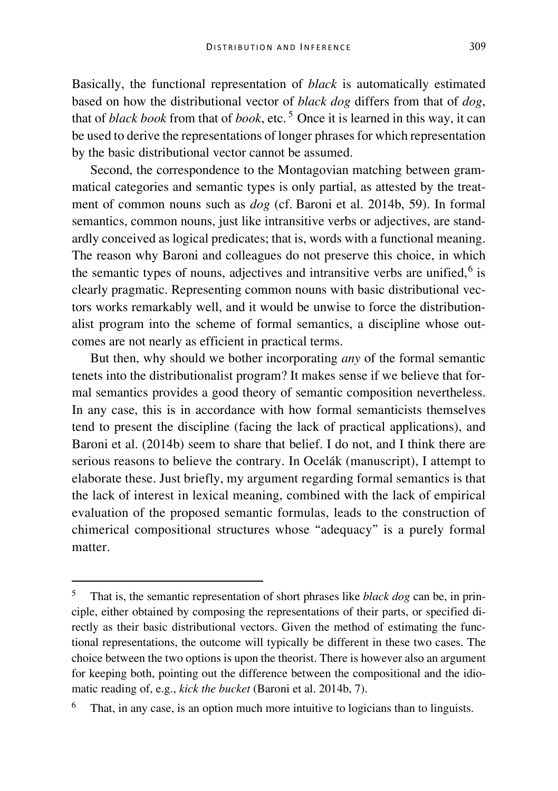Basically, the functional representation of *black* is automatically estimated based on how the distributional vector of *black dog* differs from that of *dog*, that of *black book* from that of *book*, etc. [5](#page-10-0) Once it is learned in this way, it can be used to derive the representations of longer phrases for which representation by the basic distributional vector cannot be assumed.

Second, the correspondence to the Montagovian matching between grammatical categories and semantic types is only partial, as attested by the treatment of common nouns such as *dog* (cf. Baroni et al. 2014b, 59). In formal semantics, common nouns, just like intransitive verbs or adjectives, are standardly conceived as logical predicates; that is, words with a functional meaning. The reason why Baroni and colleagues do not preserve this choice, in which the semantic types of nouns, adjectives and intransitive verbs are unified, $6$  is clearly pragmatic. Representing common nouns with basic distributional vectors works remarkably well, and it would be unwise to force the distributionalist program into the scheme of formal semantics, a discipline whose outcomes are not nearly as efficient in practical terms.

But then, why should we bother incorporating *any* of the formal semantic tenets into the distributionalist program? It makes sense if we believe that formal semantics provides a good theory of semantic composition nevertheless. In any case, this is in accordance with how formal semanticists themselves tend to present the discipline (facing the lack of practical applications), and Baroni et al. (2014b) seem to share that belief. I do not, and I think there are serious reasons to believe the contrary. In Ocelák (manuscript), I attempt to elaborate these. Just briefly, my argument regarding formal semantics is that the lack of interest in lexical meaning, combined with the lack of empirical evaluation of the proposed semantic formulas, leads to the construction of chimerical compositional structures whose "adequacy" is a purely formal matter.

<span id="page-10-0"></span> <sup>5</sup> That is, the semantic representation of short phrases like *black dog* can be, in principle, either obtained by composing the representations of their parts, or specified directly as their basic distributional vectors. Given the method of estimating the functional representations, the outcome will typically be different in these two cases. The choice between the two options is upon the theorist. There is however also an argument for keeping both, pointing out the difference between the compositional and the idiomatic reading of, e.g., *kick the bucket* (Baroni et al. 2014b, 7).

<span id="page-10-1"></span>That, in any case, is an option much more intuitive to logicians than to linguists.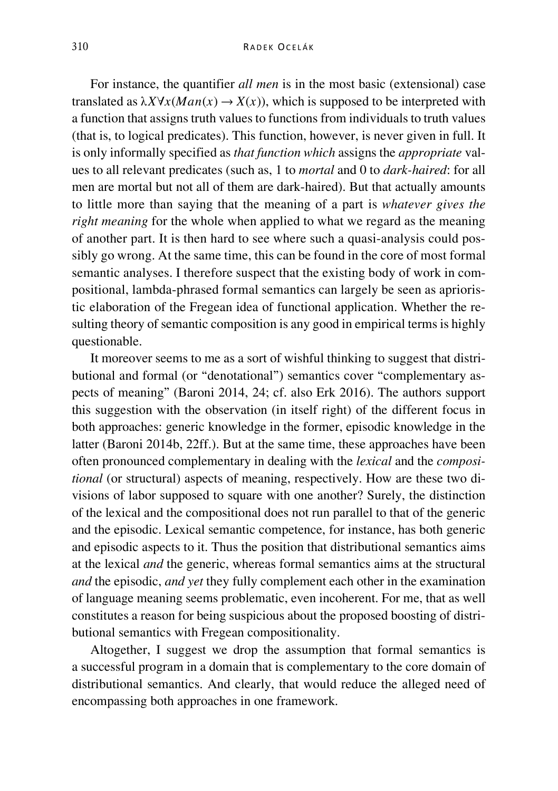For instance, the quantifier *all men* is in the most basic (extensional) case translated as  $\lambda X \forall x (Man(x) \rightarrow X(x))$ , which is supposed to be interpreted with a function that assigns truth values to functions from individuals to truth values (that is, to logical predicates). This function, however, is never given in full. It is only informally specified as *that function which* assigns the *appropriate* values to all relevant predicates (such as, 1 to *mortal* and 0 to *dark-haired*: for all men are mortal but not all of them are dark-haired). But that actually amounts to little more than saying that the meaning of a part is *whatever gives the right meaning* for the whole when applied to what we regard as the meaning of another part. It is then hard to see where such a quasi-analysis could possibly go wrong. At the same time, this can be found in the core of most formal semantic analyses. I therefore suspect that the existing body of work in compositional, lambda-phrased formal semantics can largely be seen as aprioristic elaboration of the Fregean idea of functional application. Whether the resulting theory of semantic composition is any good in empirical terms is highly questionable.

It moreover seems to me as a sort of wishful thinking to suggest that distributional and formal (or "denotational") semantics cover "complementary aspects of meaning" (Baroni 2014, 24; cf. also Erk 2016). The authors support this suggestion with the observation (in itself right) of the different focus in both approaches: generic knowledge in the former, episodic knowledge in the latter (Baroni 2014b, 22ff.). But at the same time, these approaches have been often pronounced complementary in dealing with the *lexical* and the *compositional* (or structural) aspects of meaning, respectively. How are these two divisions of labor supposed to square with one another? Surely, the distinction of the lexical and the compositional does not run parallel to that of the generic and the episodic. Lexical semantic competence, for instance, has both generic and episodic aspects to it. Thus the position that distributional semantics aims at the lexical *and* the generic, whereas formal semantics aims at the structural *and* the episodic, *and yet* they fully complement each other in the examination of language meaning seems problematic, even incoherent. For me, that as well constitutes a reason for being suspicious about the proposed boosting of distributional semantics with Fregean compositionality.

Altogether, I suggest we drop the assumption that formal semantics is a successful program in a domain that is complementary to the core domain of distributional semantics. And clearly, that would reduce the alleged need of encompassing both approaches in one framework.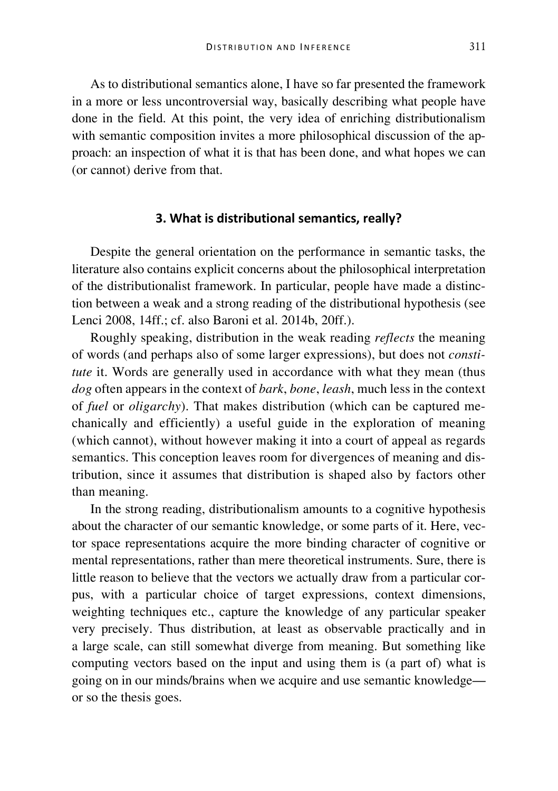As to distributional semantics alone, I have so far presented the framework in a more or less uncontroversial way, basically describing what people have done in the field. At this point, the very idea of enriching distributionalism with semantic composition invites a more philosophical discussion of the approach: an inspection of what it is that has been done, and what hopes we can (or cannot) derive from that.

#### **3. What is distributional semantics, really?**

Despite the general orientation on the performance in semantic tasks, the literature also contains explicit concerns about the philosophical interpretation of the distributionalist framework. In particular, people have made a distinction between a weak and a strong reading of the distributional hypothesis (see Lenci 2008, 14ff.; cf. also Baroni et al. 2014b, 20ff.).

Roughly speaking, distribution in the weak reading *reflects* the meaning of words (and perhaps also of some larger expressions), but does not *constitute* it. Words are generally used in accordance with what they mean (thus *dog* often appears in the context of *bark*, *bone*, *leash*, much less in the context of *fuel* or *oligarchy*). That makes distribution (which can be captured mechanically and efficiently) a useful guide in the exploration of meaning (which cannot), without however making it into a court of appeal as regards semantics. This conception leaves room for divergences of meaning and distribution, since it assumes that distribution is shaped also by factors other than meaning.

In the strong reading, distributionalism amounts to a cognitive hypothesis about the character of our semantic knowledge, or some parts of it. Here, vector space representations acquire the more binding character of cognitive or mental representations, rather than mere theoretical instruments. Sure, there is little reason to believe that the vectors we actually draw from a particular corpus, with a particular choice of target expressions, context dimensions, weighting techniques etc., capture the knowledge of any particular speaker very precisely. Thus distribution, at least as observable practically and in a large scale, can still somewhat diverge from meaning. But something like computing vectors based on the input and using them is (a part of) what is going on in our minds/brains when we acquire and use semantic knowledge or so the thesis goes.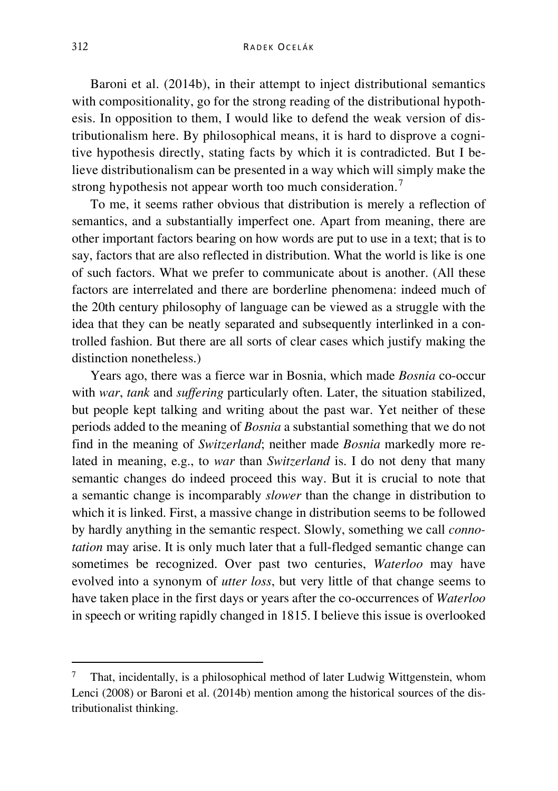Baroni et al. (2014b), in their attempt to inject distributional semantics with compositionality, go for the strong reading of the distributional hypothesis. In opposition to them, I would like to defend the weak version of distributionalism here. By philosophical means, it is hard to disprove a cognitive hypothesis directly, stating facts by which it is contradicted. But I believe distributionalism can be presented in a way which will simply make the strong hypothesis not appear worth too much consideration.<sup>[7](#page-13-0)</sup>

To me, it seems rather obvious that distribution is merely a reflection of semantics, and a substantially imperfect one. Apart from meaning, there are other important factors bearing on how words are put to use in a text; that is to say, factors that are also reflected in distribution. What the world is like is one of such factors. What we prefer to communicate about is another. (All these factors are interrelated and there are borderline phenomena: indeed much of the 20th century philosophy of language can be viewed as a struggle with the idea that they can be neatly separated and subsequently interlinked in a controlled fashion. But there are all sorts of clear cases which justify making the distinction nonetheless.)

Years ago, there was a fierce war in Bosnia, which made *Bosnia* co-occur with *war*, *tank* and *suffering* particularly often. Later, the situation stabilized, but people kept talking and writing about the past war. Yet neither of these periods added to the meaning of *Bosnia* a substantial something that we do not find in the meaning of *Switzerland*; neither made *Bosnia* markedly more related in meaning, e.g., to *war* than *Switzerland* is. I do not deny that many semantic changes do indeed proceed this way. But it is crucial to note that a semantic change is incomparably *slower* than the change in distribution to which it is linked. First, a massive change in distribution seems to be followed by hardly anything in the semantic respect. Slowly, something we call *connotation* may arise. It is only much later that a full-fledged semantic change can sometimes be recognized. Over past two centuries, *Waterloo* may have evolved into a synonym of *utter loss*, but very little of that change seems to have taken place in the first days or years after the co-occurrences of *Waterloo* in speech or writing rapidly changed in 1815. I believe this issue is overlooked

<span id="page-13-0"></span> <sup>7</sup> That, incidentally, is a philosophical method of later Ludwig Wittgenstein, whom Lenci (2008) or Baroni et al. (2014b) mention among the historical sources of the distributionalist thinking.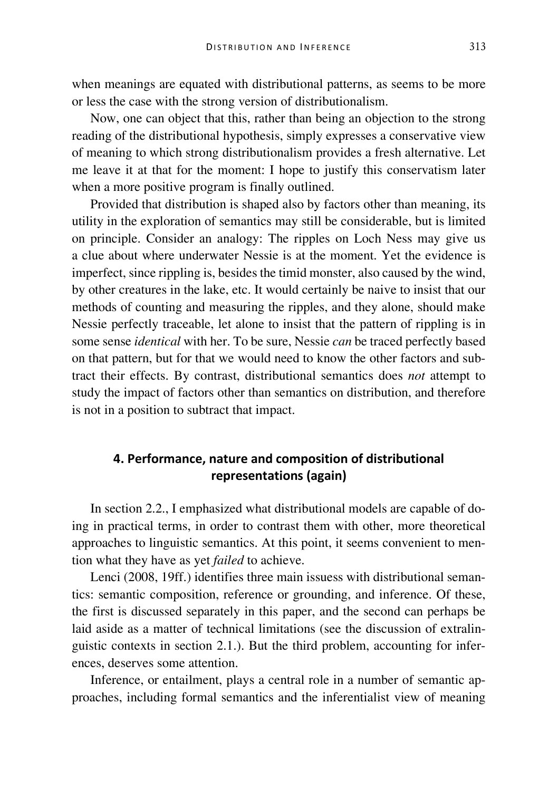when meanings are equated with distributional patterns, as seems to be more or less the case with the strong version of distributionalism.

Now, one can object that this, rather than being an objection to the strong reading of the distributional hypothesis, simply expresses a conservative view of meaning to which strong distributionalism provides a fresh alternative. Let me leave it at that for the moment: I hope to justify this conservatism later when a more positive program is finally outlined.

Provided that distribution is shaped also by factors other than meaning, its utility in the exploration of semantics may still be considerable, but is limited on principle. Consider an analogy: The ripples on Loch Ness may give us a clue about where underwater Nessie is at the moment. Yet the evidence is imperfect, since rippling is, besides the timid monster, also caused by the wind, by other creatures in the lake, etc. It would certainly be naive to insist that our methods of counting and measuring the ripples, and they alone, should make Nessie perfectly traceable, let alone to insist that the pattern of rippling is in some sense *identical* with her. To be sure, Nessie *can* be traced perfectly based on that pattern, but for that we would need to know the other factors and subtract their effects. By contrast, distributional semantics does *not* attempt to study the impact of factors other than semantics on distribution, and therefore is not in a position to subtract that impact.

# **4. Performance, nature and composition of distributional representations (again)**

In section 2.2., I emphasized what distributional models are capable of doing in practical terms, in order to contrast them with other, more theoretical approaches to linguistic semantics. At this point, it seems convenient to mention what they have as yet *failed* to achieve.

Lenci (2008, 19ff.) identifies three main issuess with distributional semantics: semantic composition, reference or grounding, and inference. Of these, the first is discussed separately in this paper, and the second can perhaps be laid aside as a matter of technical limitations (see the discussion of extralinguistic contexts in section 2.1.). But the third problem, accounting for inferences, deserves some attention.

Inference, or entailment, plays a central role in a number of semantic approaches, including formal semantics and the inferentialist view of meaning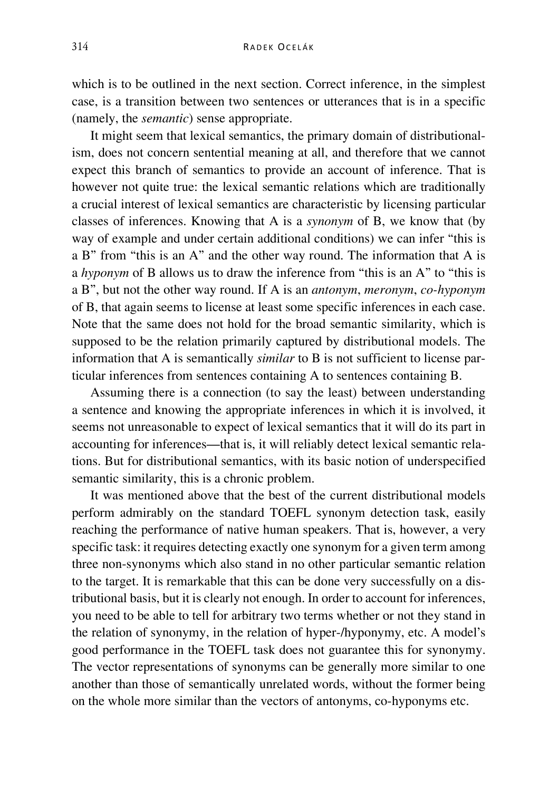which is to be outlined in the next section. Correct inference, in the simplest case, is a transition between two sentences or utterances that is in a specific (namely, the *semantic*) sense appropriate.

It might seem that lexical semantics, the primary domain of distributionalism, does not concern sentential meaning at all, and therefore that we cannot expect this branch of semantics to provide an account of inference. That is however not quite true: the lexical semantic relations which are traditionally a crucial interest of lexical semantics are characteristic by licensing particular classes of inferences. Knowing that A is a *synonym* of B, we know that (by way of example and under certain additional conditions) we can infer "this is a B" from "this is an A" and the other way round. The information that A is a *hyponym* of B allows us to draw the inference from "this is an A" to "this is a B", but not the other way round. If A is an *antonym*, *meronym*, *co-hyponym* of B, that again seems to license at least some specific inferences in each case. Note that the same does not hold for the broad semantic similarity, which is supposed to be the relation primarily captured by distributional models. The information that A is semantically *similar* to B is not sufficient to license particular inferences from sentences containing A to sentences containing B.

Assuming there is a connection (to say the least) between understanding a sentence and knowing the appropriate inferences in which it is involved, it seems not unreasonable to expect of lexical semantics that it will do its part in accounting for inferences—that is, it will reliably detect lexical semantic relations. But for distributional semantics, with its basic notion of underspecified semantic similarity, this is a chronic problem.

It was mentioned above that the best of the current distributional models perform admirably on the standard TOEFL synonym detection task, easily reaching the performance of native human speakers. That is, however, a very specific task: it requires detecting exactly one synonym for a given term among three non-synonyms which also stand in no other particular semantic relation to the target. It is remarkable that this can be done very successfully on a distributional basis, but it is clearly not enough. In order to account for inferences, you need to be able to tell for arbitrary two terms whether or not they stand in the relation of synonymy, in the relation of hyper-/hyponymy, etc. A model's good performance in the TOEFL task does not guarantee this for synonymy. The vector representations of synonyms can be generally more similar to one another than those of semantically unrelated words, without the former being on the whole more similar than the vectors of antonyms, co-hyponyms etc.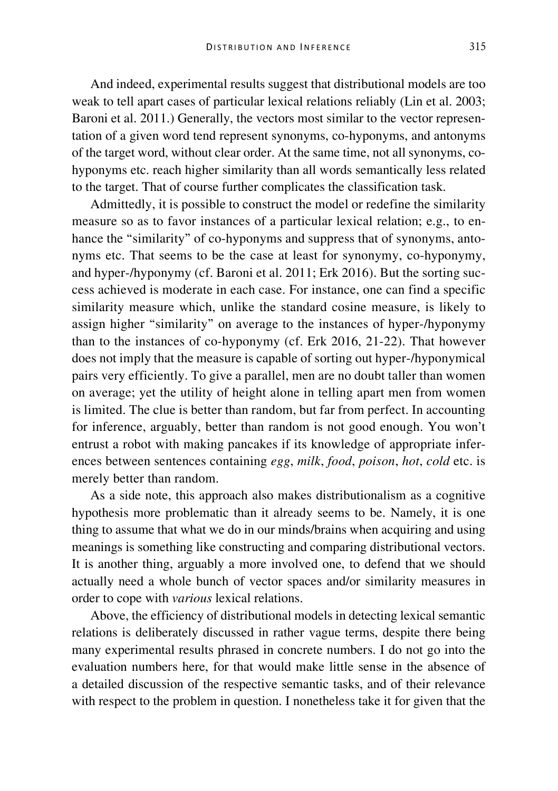And indeed, experimental results suggest that distributional models are too weak to tell apart cases of particular lexical relations reliably (Lin et al. 2003; Baroni et al. 2011.) Generally, the vectors most similar to the vector representation of a given word tend represent synonyms, co-hyponyms, and antonyms of the target word, without clear order. At the same time, not all synonyms, cohyponyms etc. reach higher similarity than all words semantically less related to the target. That of course further complicates the classification task.

Admittedly, it is possible to construct the model or redefine the similarity measure so as to favor instances of a particular lexical relation; e.g., to enhance the "similarity" of co-hyponyms and suppress that of synonyms, antonyms etc. That seems to be the case at least for synonymy, co-hyponymy, and hyper-/hyponymy (cf. Baroni et al. 2011; Erk 2016). But the sorting success achieved is moderate in each case. For instance, one can find a specific similarity measure which, unlike the standard cosine measure, is likely to assign higher "similarity" on average to the instances of hyper-/hyponymy than to the instances of co-hyponymy (cf. Erk 2016, 21-22). That however does not imply that the measure is capable of sorting out hyper-/hyponymical pairs very efficiently. To give a parallel, men are no doubt taller than women on average; yet the utility of height alone in telling apart men from women is limited. The clue is better than random, but far from perfect. In accounting for inference, arguably, better than random is not good enough. You won't entrust a robot with making pancakes if its knowledge of appropriate inferences between sentences containing *egg*, *milk*, *food*, *poison*, *hot*, *cold* etc. is merely better than random.

As a side note, this approach also makes distributionalism as a cognitive hypothesis more problematic than it already seems to be. Namely, it is one thing to assume that what we do in our minds/brains when acquiring and using meanings is something like constructing and comparing distributional vectors. It is another thing, arguably a more involved one, to defend that we should actually need a whole bunch of vector spaces and/or similarity measures in order to cope with *various* lexical relations.

Above, the efficiency of distributional models in detecting lexical semantic relations is deliberately discussed in rather vague terms, despite there being many experimental results phrased in concrete numbers. I do not go into the evaluation numbers here, for that would make little sense in the absence of a detailed discussion of the respective semantic tasks, and of their relevance with respect to the problem in question. I nonetheless take it for given that the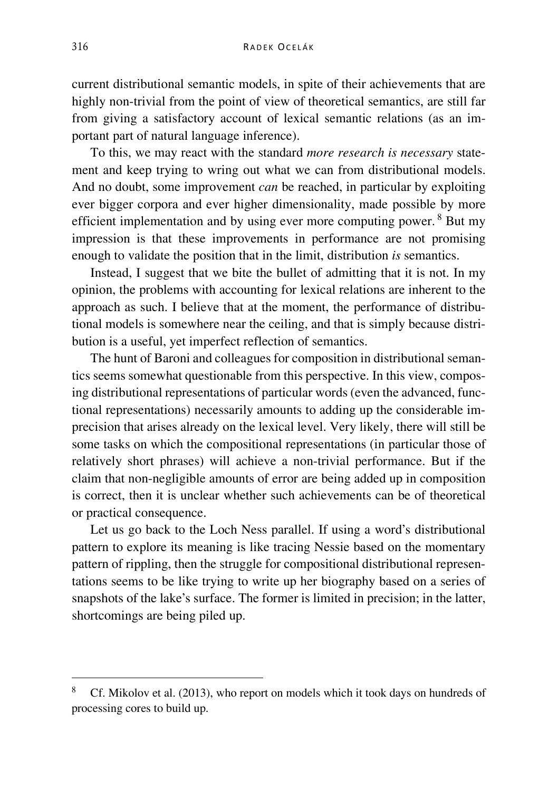current distributional semantic models, in spite of their achievements that are highly non-trivial from the point of view of theoretical semantics, are still far from giving a satisfactory account of lexical semantic relations (as an important part of natural language inference).

To this, we may react with the standard *more research is necessary* statement and keep trying to wring out what we can from distributional models. And no doubt, some improvement *can* be reached, in particular by exploiting ever bigger corpora and ever higher dimensionality, made possible by more efficient implementation and by using ever more computing power. [8](#page-17-0) But my impression is that these improvements in performance are not promising enough to validate the position that in the limit, distribution *is* semantics.

Instead, I suggest that we bite the bullet of admitting that it is not. In my opinion, the problems with accounting for lexical relations are inherent to the approach as such. I believe that at the moment, the performance of distributional models is somewhere near the ceiling, and that is simply because distribution is a useful, yet imperfect reflection of semantics.

The hunt of Baroni and colleagues for composition in distributional semantics seems somewhat questionable from this perspective. In this view, composing distributional representations of particular words (even the advanced, functional representations) necessarily amounts to adding up the considerable imprecision that arises already on the lexical level. Very likely, there will still be some tasks on which the compositional representations (in particular those of relatively short phrases) will achieve a non-trivial performance. But if the claim that non-negligible amounts of error are being added up in composition is correct, then it is unclear whether such achievements can be of theoretical or practical consequence.

Let us go back to the Loch Ness parallel. If using a word's distributional pattern to explore its meaning is like tracing Nessie based on the momentary pattern of rippling, then the struggle for compositional distributional representations seems to be like trying to write up her biography based on a series of snapshots of the lake's surface. The former is limited in precision; in the latter, shortcomings are being piled up.

<span id="page-17-0"></span> <sup>8</sup> Cf. Mikolov et al. (2013), who report on models which it took days on hundreds o<sup>f</sup> processing cores to build up.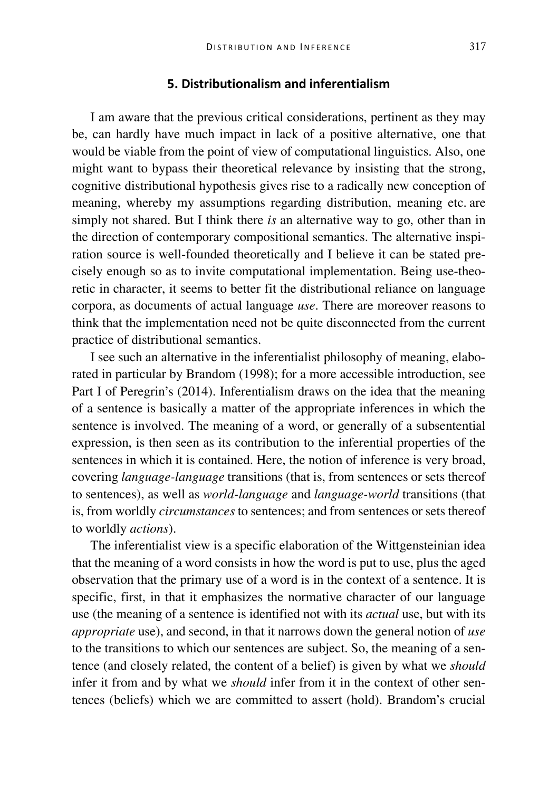# **5. Distributionalism and inferentialism**

I am aware that the previous critical considerations, pertinent as they may be, can hardly have much impact in lack of a positive alternative, one that would be viable from the point of view of computational linguistics. Also, one might want to bypass their theoretical relevance by insisting that the strong, cognitive distributional hypothesis gives rise to a radically new conception of meaning, whereby my assumptions regarding distribution, meaning etc. are simply not shared. But I think there *is* an alternative way to go, other than in the direction of contemporary compositional semantics. The alternative inspiration source is well-founded theoretically and I believe it can be stated precisely enough so as to invite computational implementation. Being use-theoretic in character, it seems to better fit the distributional reliance on language corpora, as documents of actual language *use*. There are moreover reasons to think that the implementation need not be quite disconnected from the current practice of distributional semantics.

I see such an alternative in the inferentialist philosophy of meaning, elaborated in particular by Brandom (1998); for a more accessible introduction, see Part I of Peregrin's (2014). Inferentialism draws on the idea that the meaning of a sentence is basically a matter of the appropriate inferences in which the sentence is involved. The meaning of a word, or generally of a subsentential expression, is then seen as its contribution to the inferential properties of the sentences in which it is contained. Here, the notion of inference is very broad, covering *language-language* transitions (that is, from sentences or sets thereof to sentences), as well as *world-language* and *language-world* transitions (that is, from worldly *circumstances* to sentences; and from sentences or sets thereof to worldly *actions*).

The inferentialist view is a specific elaboration of the Wittgensteinian idea that the meaning of a word consists in how the word is put to use, plus the aged observation that the primary use of a word is in the context of a sentence. It is specific, first, in that it emphasizes the normative character of our language use (the meaning of a sentence is identified not with its *actual* use, but with its *appropriate* use), and second, in that it narrows down the general notion of *use* to the transitions to which our sentences are subject. So, the meaning of a sentence (and closely related, the content of a belief) is given by what we *should* infer it from and by what we *should* infer from it in the context of other sentences (beliefs) which we are committed to assert (hold). Brandom's crucial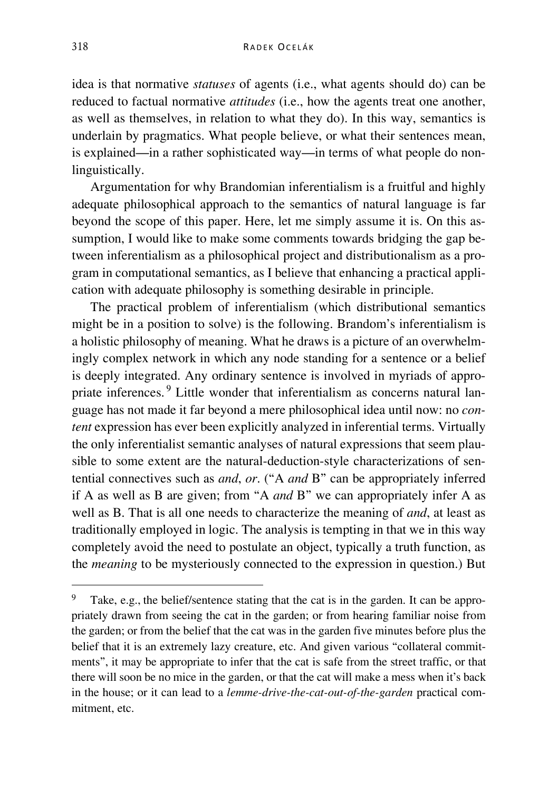idea is that normative *statuses* of agents (i.e., what agents should do) can be reduced to factual normative *attitudes* (i.e., how the agents treat one another, as well as themselves, in relation to what they do). In this way, semantics is underlain by pragmatics. What people believe, or what their sentences mean, is explained—in a rather sophisticated way—in terms of what people do nonlinguistically.

Argumentation for why Brandomian inferentialism is a fruitful and highly adequate philosophical approach to the semantics of natural language is far beyond the scope of this paper. Here, let me simply assume it is. On this assumption, I would like to make some comments towards bridging the gap between inferentialism as a philosophical project and distributionalism as a program in computational semantics, as I believe that enhancing a practical application with adequate philosophy is something desirable in principle.

The practical problem of inferentialism (which distributional semantics might be in a position to solve) is the following. Brandom's inferentialism is a holistic philosophy of meaning. What he draws is a picture of an overwhelmingly complex network in which any node standing for a sentence or a belief is deeply integrated. Any ordinary sentence is involved in myriads of appropriate inferences. [9](#page-19-0) Little wonder that inferentialism as concerns natural language has not made it far beyond a mere philosophical idea until now: no *content* expression has ever been explicitly analyzed in inferential terms. Virtually the only inferentialist semantic analyses of natural expressions that seem plausible to some extent are the natural-deduction-style characterizations of sentential connectives such as *and*, *or*. ("A *and* B" can be appropriately inferred if A as well as B are given; from "A *and* B" we can appropriately infer A as well as B. That is all one needs to characterize the meaning of *and*, at least as traditionally employed in logic. The analysis is tempting in that we in this way completely avoid the need to postulate an object, typically a truth function, as the *meaning* to be mysteriously connected to the expression in question.) But

<span id="page-19-0"></span> <sup>9</sup> Take, e.g., the belief/sentence stating that the cat is in the garden. It can be appropriately drawn from seeing the cat in the garden; or from hearing familiar noise from the garden; or from the belief that the cat was in the garden five minutes before plus the belief that it is an extremely lazy creature, etc. And given various "collateral commitments", it may be appropriate to infer that the cat is safe from the street traffic, or that there will soon be no mice in the garden, or that the cat will make a mess when it's back in the house; or it can lead to a *lemme-drive-the-cat-out-of-the-garden* practical commitment, etc.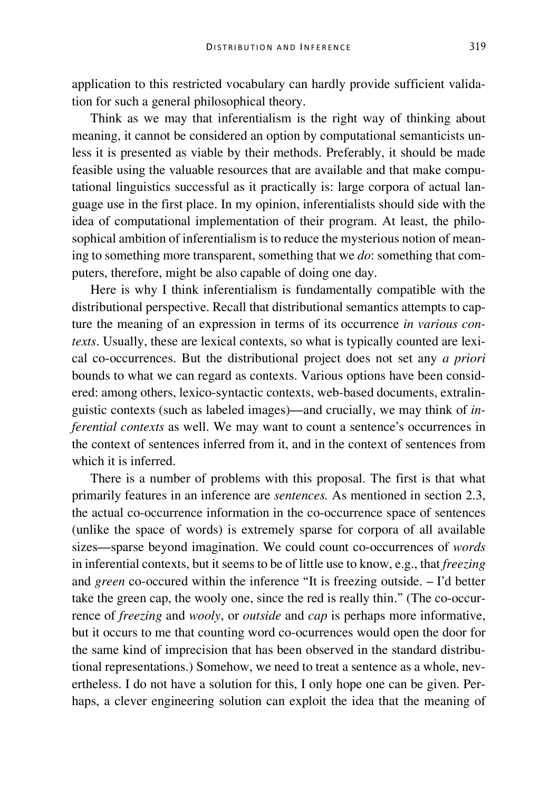application to this restricted vocabulary can hardly provide sufficient validation for such a general philosophical theory.

Think as we may that inferentialism is the right way of thinking about meaning, it cannot be considered an option by computational semanticists unless it is presented as viable by their methods. Preferably, it should be made feasible using the valuable resources that are available and that make computational linguistics successful as it practically is: large corpora of actual language use in the first place. In my opinion, inferentialists should side with the idea of computational implementation of their program. At least, the philosophical ambition of inferentialism is to reduce the mysterious notion of meaning to something more transparent, something that we *do*: something that computers, therefore, might be also capable of doing one day.

Here is why I think inferentialism is fundamentally compatible with the distributional perspective. Recall that distributional semantics attempts to capture the meaning of an expression in terms of its occurrence *in various contexts*. Usually, these are lexical contexts, so what is typically counted are lexical co-occurrences. But the distributional project does not set any *a priori* bounds to what we can regard as contexts. Various options have been considered: among others, lexico-syntactic contexts, web-based documents, extralinguistic contexts (such as labeled images)—and crucially, we may think of *inferential contexts* as well. We may want to count a sentence's occurrences in the context of sentences inferred from it, and in the context of sentences from which it is inferred.

There is a number of problems with this proposal. The first is that what primarily features in an inference are *sentences.* As mentioned in section 2.3, the actual co-occurrence information in the co-occurrence space of sentences (unlike the space of words) is extremely sparse for corpora of all available sizes—sparse beyond imagination. We could count co-occurrences of *words* in inferential contexts, but it seems to be of little use to know, e.g., that *freezing* and *green* co-occured within the inference "It is freezing outside. – I'd better take the green cap, the wooly one, since the red is really thin." (The co-occurrence of *freezing* and *wooly*, or *outside* and *cap* is perhaps more informative, but it occurs to me that counting word co-ocurrences would open the door for the same kind of imprecision that has been observed in the standard distributional representations.) Somehow, we need to treat a sentence as a whole, nevertheless. I do not have a solution for this, I only hope one can be given. Perhaps, a clever engineering solution can exploit the idea that the meaning of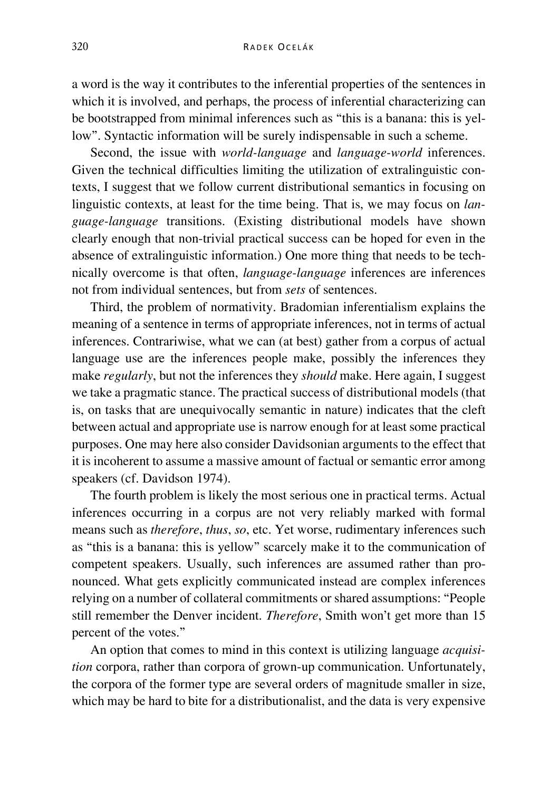a word is the way it contributes to the inferential properties of the sentences in which it is involved, and perhaps, the process of inferential characterizing can be bootstrapped from minimal inferences such as "this is a banana: this is yellow". Syntactic information will be surely indispensable in such a scheme.

Second, the issue with *world-language* and *language-world* inferences. Given the technical difficulties limiting the utilization of extralinguistic contexts, I suggest that we follow current distributional semantics in focusing on linguistic contexts, at least for the time being. That is, we may focus on *language-language* transitions. (Existing distributional models have shown clearly enough that non-trivial practical success can be hoped for even in the absence of extralinguistic information.) One more thing that needs to be technically overcome is that often, *language-language* inferences are inferences not from individual sentences, but from *sets* of sentences.

Third, the problem of normativity. Bradomian inferentialism explains the meaning of a sentence in terms of appropriate inferences, not in terms of actual inferences. Contrariwise, what we can (at best) gather from a corpus of actual language use are the inferences people make, possibly the inferences they make *regularly*, but not the inferences they *should* make. Here again, I suggest we take a pragmatic stance. The practical success of distributional models (that is, on tasks that are unequivocally semantic in nature) indicates that the cleft between actual and appropriate use is narrow enough for at least some practical purposes. One may here also consider Davidsonian arguments to the effect that it is incoherent to assume a massive amount of factual or semantic error among speakers (cf. Davidson 1974).

The fourth problem is likely the most serious one in practical terms. Actual inferences occurring in a corpus are not very reliably marked with formal means such as *therefore*, *thus*, *so*, etc. Yet worse, rudimentary inferences such as "this is a banana: this is yellow" scarcely make it to the communication of competent speakers. Usually, such inferences are assumed rather than pronounced. What gets explicitly communicated instead are complex inferences relying on a number of collateral commitments or shared assumptions: "People still remember the Denver incident. *Therefore*, Smith won't get more than 15 percent of the votes."

An option that comes to mind in this context is utilizing language *acquisition* corpora, rather than corpora of grown-up communication. Unfortunately, the corpora of the former type are several orders of magnitude smaller in size, which may be hard to bite for a distributionalist, and the data is very expensive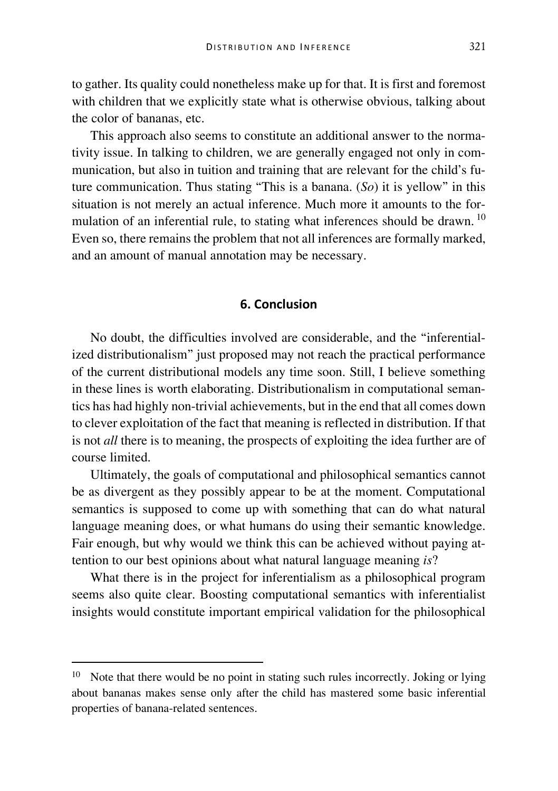to gather. Its quality could nonetheless make up for that. It is first and foremost with children that we explicitly state what is otherwise obvious, talking about the color of bananas, etc.

This approach also seems to constitute an additional answer to the normativity issue. In talking to children, we are generally engaged not only in communication, but also in tuition and training that are relevant for the child's future communication. Thus stating "This is a banana. (*So*) it is yellow" in this situation is not merely an actual inference. Much more it amounts to the for-mulation of an inferential rule, to stating what inferences should be drawn. <sup>[10](#page-22-0)</sup> Even so, there remains the problem that not all inferences are formally marked, and an amount of manual annotation may be necessary.

# **6. Conclusion**

No doubt, the difficulties involved are considerable, and the "inferentialized distributionalism" just proposed may not reach the practical performance of the current distributional models any time soon. Still, I believe something in these lines is worth elaborating. Distributionalism in computational semantics has had highly non-trivial achievements, but in the end that all comes down to clever exploitation of the fact that meaning is reflected in distribution. If that is not *all* there is to meaning, the prospects of exploiting the idea further are of course limited.

Ultimately, the goals of computational and philosophical semantics cannot be as divergent as they possibly appear to be at the moment. Computational semantics is supposed to come up with something that can do what natural language meaning does, or what humans do using their semantic knowledge. Fair enough, but why would we think this can be achieved without paying attention to our best opinions about what natural language meaning *is*?

What there is in the project for inferentialism as a philosophical program seems also quite clear. Boosting computational semantics with inferentialist insights would constitute important empirical validation for the philosophical

<span id="page-22-0"></span> $10$  Note that there would be no point in stating such rules incorrectly. Joking or lying about bananas makes sense only after the child has mastered some basic inferential properties of banana-related sentences.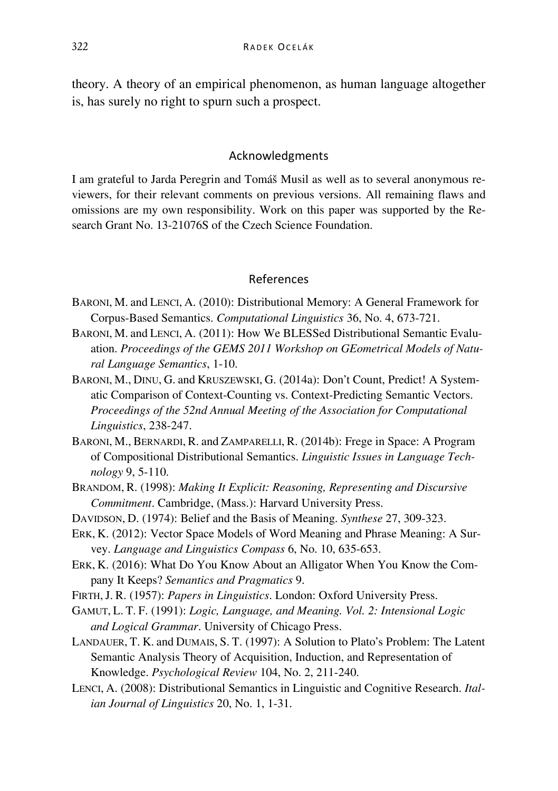theory. A theory of an empirical phenomenon, as human language altogether is, has surely no right to spurn such a prospect.

### Acknowledgments

I am grateful to Jarda Peregrin and Tomáš Musil as well as to several anonymous reviewers, for their relevant comments on previous versions. All remaining flaws and omissions are my own responsibility. Work on this paper was supported by the Research Grant No. 13-21076S of the Czech Science Foundation.

# References

- BARONI, M. and LENCI, A. (2010): Distributional Memory: A General Framework for Corpus-Based Semantics. *Computational Linguistics* 36, No. 4, 673-721.
- BARONI, M. and LENCI, A. (2011): How We BLESSed Distributional Semantic Evaluation. *Proceedings of the GEMS 2011 Workshop on GEometrical Models of Natural Language Semantics*, 1-10.
- BARONI, M., DINU, G. and KRUSZEWSKI, G. (2014a): Don't Count, Predict! A Systematic Comparison of Context-Counting vs. Context-Predicting Semantic Vectors. *Proceedings of the 52nd Annual Meeting of the Association for Computational Linguistics*, 238-247.
- BARONI, M., BERNARDI, R. and ZAMPARELLI, R. (2014b): Frege in Space: A Program of Compositional Distributional Semantics. *Linguistic Issues in Language Technology* 9, 5-110.
- BRANDOM, R. (1998): *Making It Explicit: Reasoning, Representing and Discursive Commitment*. Cambridge, (Mass.): Harvard University Press.
- DAVIDSON, D. (1974): Belief and the Basis of Meaning. *Synthese* 27, 309-323.
- ERK, K. (2012): Vector Space Models of Word Meaning and Phrase Meaning: A Survey. *Language and Linguistics Compass* 6, No. 10, 635-653.
- ERK, K. (2016): What Do You Know About an Alligator When You Know the Company It Keeps? *Semantics and Pragmatics* 9.
- FIRTH,J. R. (1957): *Papers in Linguistics*. London: Oxford University Press.
- GAMUT, L. T. F. (1991): *Logic, Language, and Meaning. Vol. 2: Intensional Logic and Logical Grammar*. University of Chicago Press.
- LANDAUER, T. K. and DUMAIS, S. T. (1997): A Solution to Plato's Problem: The Latent Semantic Analysis Theory of Acquisition, Induction, and Representation of Knowledge. *Psychological Review* 104, No. 2, 211-240.
- LENCI, A. (2008): Distributional Semantics in Linguistic and Cognitive Research. *Italian Journal of Linguistics* 20, No. 1, 1-31.